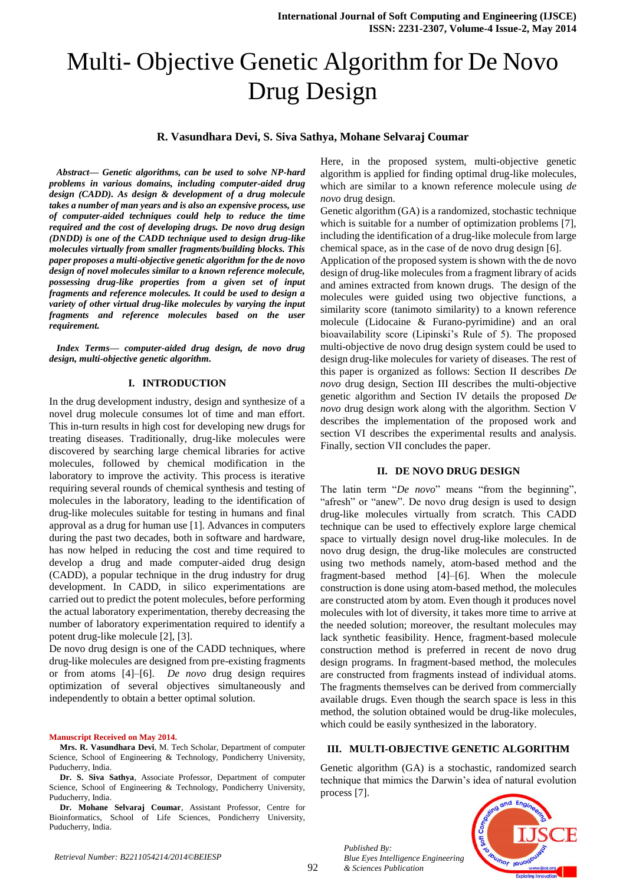# Multi- Objective Genetic Algorithm for De Novo Drug Design

# **R. Vasundhara Devi, S. Siva Sathya, Mohane Selvaraj Coumar**

*Abstract— Genetic algorithms, can be used to solve NP-hard problems in various domains, including computer-aided drug design (CADD). As design & development of a drug molecule takes a number of man years and is also an expensive process, use of computer-aided techniques could help to reduce the time required and the cost of developing drugs. De novo drug design (DNDD) is one of the CADD technique used to design drug-like molecules virtually from smaller fragments/building blocks. This paper proposes a multi-objective genetic algorithm for the de novo design of novel molecules similar to a known reference molecule, possessing drug-like properties from a given set of input fragments and reference molecules. It could be used to design a variety of other virtual drug-like molecules by varying the input fragments and reference molecules based on the user requirement.*

*Index Terms— computer-aided drug design, de novo drug design, multi-objective genetic algorithm.* 

### **I. INTRODUCTION**

In the drug development industry, design and synthesize of a novel drug molecule consumes lot of time and man effort. This in-turn results in high cost for developing new drugs for treating diseases. Traditionally, drug-like molecules were discovered by searching large chemical libraries for active molecules, followed by chemical modification in the laboratory to improve the activity. This process is iterative requiring several rounds of chemical synthesis and testing of molecules in the laboratory, leading to the identification of drug-like molecules suitable for testing in humans and final approval as a drug for human use [1]. Advances in computers during the past two decades, both in software and hardware, has now helped in reducing the cost and time required to develop a drug and made computer-aided drug design (CADD), a popular technique in the drug industry for drug development. In CADD, in silico experimentations are carried out to predict the potent molecules, before performing the actual laboratory experimentation, thereby decreasing the number of laboratory experimentation required to identify a potent drug-like molecule [2], [3].

De novo drug design is one of the CADD techniques, where drug-like molecules are designed from pre-existing fragments or from atoms [4]–[6]. *De novo* drug design requires optimization of several objectives simultaneously and independently to obtain a better optimal solution.

#### **Manuscript Received on May 2014.**

**Dr. S. Siva Sathya**, Associate Professor, Department of computer Science, School of Engineering & Technology, Pondicherry University, Puducherry, India.

**Dr. Mohane Selvaraj Coumar**, Assistant Professor, Centre for Bioinformatics, School of Life Sciences, Pondicherry University, Puducherry, India.

Here, in the proposed system, multi-objective genetic algorithm is applied for finding optimal drug-like molecules, which are similar to a known reference molecule using *de novo* drug design.

Genetic algorithm (GA) is a randomized, stochastic technique which is suitable for a number of optimization problems [7], including the identification of a drug-like molecule from large chemical space, as in the case of de novo drug design [6].

Application of the proposed system is shown with the de novo design of drug-like molecules from a fragment library of acids and amines extracted from known drugs. The design of the molecules were guided using two objective functions, a similarity score (tanimoto similarity) to a known reference molecule (Lidocaine & Furano-pyrimidine) and an oral bioavailability score (Lipinski's Rule of 5). The proposed multi-objective de novo drug design system could be used to design drug-like molecules for variety of diseases. The rest of this paper is organized as follows: Section II describes *De novo* drug design, Section III describes the multi-objective genetic algorithm and Section IV details the proposed *De novo* drug design work along with the algorithm. Section V describes the implementation of the proposed work and section VI describes the experimental results and analysis. Finally, section VII concludes the paper.

## **II. DE NOVO DRUG DESIGN**

The latin term "*De novo*" means "from the beginning", "afresh" or "anew". De novo drug design is used to design drug-like molecules virtually from scratch. This CADD technique can be used to effectively explore large chemical space to virtually design novel drug-like molecules. In de novo drug design, the drug-like molecules are constructed using two methods namely, atom-based method and the fragment-based method [4]–[6]. When the molecule construction is done using atom-based method, the molecules are constructed atom by atom. Even though it produces novel molecules with lot of diversity, it takes more time to arrive at the needed solution; moreover, the resultant molecules may lack synthetic feasibility. Hence, fragment-based molecule construction method is preferred in recent de novo drug design programs. In fragment-based method, the molecules are constructed from fragments instead of individual atoms. The fragments themselves can be derived from commercially available drugs. Even though the search space is less in this method, the solution obtained would be drug-like molecules, which could be easily synthesized in the laboratory.

### **III. MULTI-OBJECTIVE GENETIC ALGORITHM**

Genetic algorithm (GA) is a stochastic, randomized search technique that mimics the Darwin's idea of natural evolution process [7].



*Published By:*

*& Sciences Publication* 

*Blue Eyes Intelligence Engineering* 

**Mrs. R. Vasundhara Devi**, M. Tech Scholar, Department of computer Science, School of Engineering & Technology, Pondicherry University, Puducherry, India.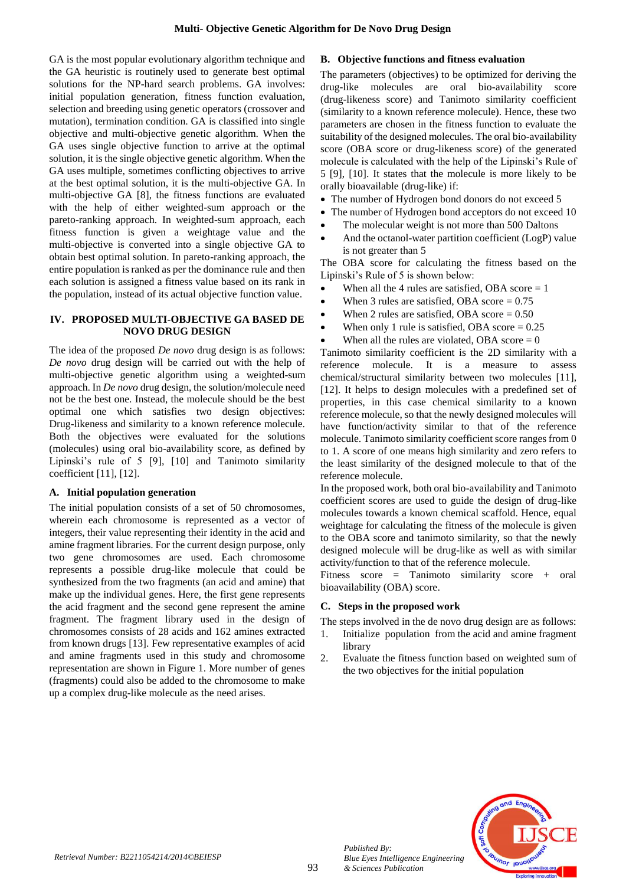GA is the most popular evolutionary algorithm technique and the GA heuristic is routinely used to generate best optimal solutions for the NP-hard search problems. GA involves: initial population generation, fitness function evaluation, selection and breeding using genetic operators (crossover and mutation), termination condition. GA is classified into single objective and multi-objective genetic algorithm. When the GA uses single objective function to arrive at the optimal solution, it is the single objective genetic algorithm. When the GA uses multiple, sometimes conflicting objectives to arrive at the best optimal solution, it is the multi-objective GA. In multi-objective GA [8], the fitness functions are evaluated with the help of either weighted-sum approach or the pareto-ranking approach. In weighted-sum approach, each fitness function is given a weightage value and the multi-objective is converted into a single objective GA to obtain best optimal solution. In pareto-ranking approach, the entire population is ranked as per the dominance rule and then each solution is assigned a fitness value based on its rank in the population, instead of its actual objective function value.

# **IV. PROPOSED MULTI-OBJECTIVE GA BASED DE NOVO DRUG DESIGN**

The idea of the proposed *De novo* drug design is as follows: *De novo* drug design will be carried out with the help of multi-objective genetic algorithm using a weighted-sum approach. In *De novo* drug design, the solution/molecule need not be the best one. Instead, the molecule should be the best optimal one which satisfies two design objectives: Drug-likeness and similarity to a known reference molecule. Both the objectives were evaluated for the solutions (molecules) using oral bio-availability score, as defined by Lipinski's rule of 5 [9], [10] and Tanimoto similarity coefficient [11], [12].

# **A. Initial population generation**

The initial population consists of a set of 50 chromosomes, wherein each chromosome is represented as a vector of integers, their value representing their identity in the acid and amine fragment libraries. For the current design purpose, only two gene chromosomes are used. Each chromosome represents a possible drug-like molecule that could be synthesized from the two fragments (an acid and amine) that make up the individual genes. Here, the first gene represents the acid fragment and the second gene represent the amine fragment. The fragment library used in the design of chromosomes consists of 28 acids and 162 amines extracted from known drugs [13]. Few representative examples of acid and amine fragments used in this study and chromosome representation are shown in Figure 1. More number of genes (fragments) could also be added to the chromosome to make up a complex drug-like molecule as the need arises.

# **B. Objective functions and fitness evaluation**

The parameters (objectives) to be optimized for deriving the drug-like molecules are oral bio-availability score (drug-likeness score) and Tanimoto similarity coefficient (similarity to a known reference molecule). Hence, these two parameters are chosen in the fitness function to evaluate the suitability of the designed molecules. The oral bio-availability score (OBA score or drug-likeness score) of the generated molecule is calculated with the help of the Lipinski's Rule of 5 [9], [10]. It states that the molecule is more likely to be orally bioavailable (drug-like) if:

- The number of Hydrogen bond donors do not exceed 5
- The number of Hydrogen bond acceptors do not exceed 10
- The molecular weight is not more than 500 Daltons
- And the octanol-water partition coefficient (LogP) value is not greater than 5

The OBA score for calculating the fitness based on the Lipinski's Rule of 5 is shown below:

- When all the 4 rules are satisfied, OBA score  $= 1$
- When 3 rules are satisfied, OBA score  $= 0.75$
- When 2 rules are satisfied, OBA score  $= 0.50$
- When only 1 rule is satisfied, OBA score  $= 0.25$
- When all the rules are violated, OBA score  $= 0$

Tanimoto similarity coefficient is the 2D similarity with a reference molecule. It is a measure to assess chemical/structural similarity between two molecules [11], [12]. It helps to design molecules with a predefined set of properties, in this case chemical similarity to a known reference molecule, so that the newly designed molecules will have function/activity similar to that of the reference molecule. Tanimoto similarity coefficient score ranges from 0 to 1. A score of one means high similarity and zero refers to the least similarity of the designed molecule to that of the reference molecule.

In the proposed work, both oral bio-availability and Tanimoto coefficient scores are used to guide the design of drug-like molecules towards a known chemical scaffold. Hence, equal weightage for calculating the fitness of the molecule is given to the OBA score and tanimoto similarity, so that the newly designed molecule will be drug-like as well as with similar activity/function to that of the reference molecule.

Fitness score = Tanimoto similarity score + oral bioavailability (OBA) score.

# **C. Steps in the proposed work**

- The steps involved in the de novo drug design are as follows:
- 1. Initialize population from the acid and amine fragment library
- 2. Evaluate the fitness function based on weighted sum of the two objectives for the initial population



*Published By:*

*& Sciences Publication* 

*Blue Eyes Intelligence Engineering*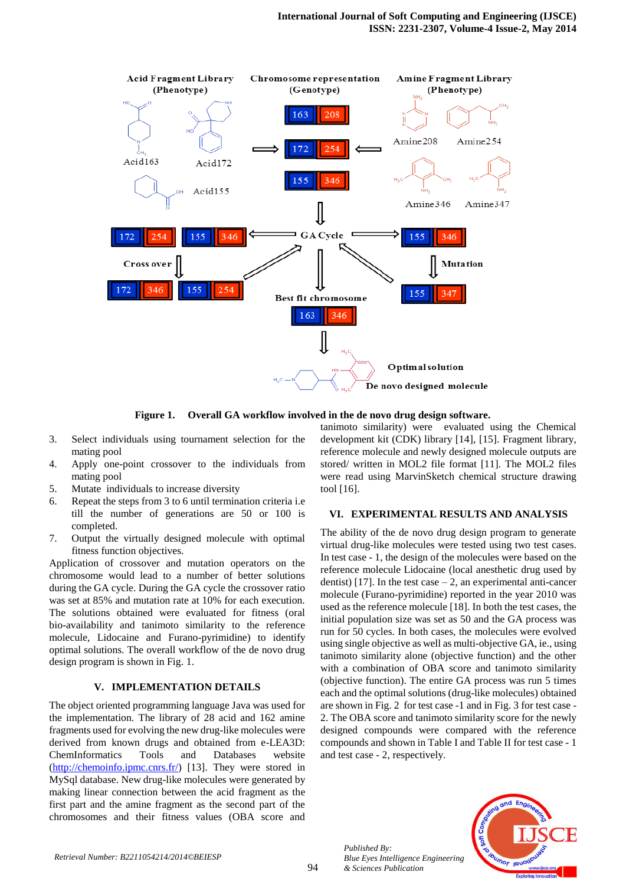

**Figure 1. Overall GA workflow involved in the de novo drug design software.**

- 3. Select individuals using tournament selection for the mating pool
- 4. Apply one-point crossover to the individuals from mating pool
- 5. Mutate individuals to increase diversity
- 6. Repeat the steps from 3 to 6 until termination criteria i.e till the number of generations are 50 or 100 is completed.
- 7. Output the virtually designed molecule with optimal fitness function objectives.

Application of crossover and mutation operators on the chromosome would lead to a number of better solutions during the GA cycle. During the GA cycle the crossover ratio was set at 85% and mutation rate at 10% for each execution. The solutions obtained were evaluated for fitness (oral bio-availability and tanimoto similarity to the reference molecule, Lidocaine and Furano-pyrimidine) to identify optimal solutions. The overall workflow of the de novo drug design program is shown in Fig. 1.

# **V. IMPLEMENTATION DETAILS**

The object oriented programming language Java was used for the implementation. The library of 28 acid and 162 amine fragments used for evolving the new drug-like molecules were derived from known drugs and obtained from e-LEA3D: ChemInformatics Tools and Databases website [\(http://chemoinfo.ipmc.cnrs.fr/\)](http://chemoinfo.ipmc.cnrs.fr/) [13]. They were stored in MySql database. New drug-like molecules were generated by making linear connection between the acid fragment as the first part and the amine fragment as the second part of the chromosomes and their fitness values (OBA score and tanimoto similarity) were evaluated using the Chemical development kit (CDK) library [14], [15]. Fragment library, reference molecule and newly designed molecule outputs are stored/ written in MOL2 file format [11]. The MOL2 files were read using MarvinSketch chemical structure drawing tool [16].

## **VI. EXPERIMENTAL RESULTS AND ANALYSIS**

The ability of the de novo drug design program to generate virtual drug-like molecules were tested using two test cases. In test case - 1, the design of the molecules were based on the reference molecule Lidocaine (local anesthetic drug used by dentist) [17]. In the test case  $-2$ , an experimental anti-cancer molecule (Furano-pyrimidine) reported in the year 2010 was used as the reference molecule [18]. In both the test cases, the initial population size was set as 50 and the GA process was run for 50 cycles. In both cases, the molecules were evolved using single objective as well as multi-objective GA, ie., using tanimoto similarity alone (objective function) and the other with a combination of OBA score and tanimoto similarity (objective function). The entire GA process was run 5 times each and the optimal solutions (drug-like molecules) obtained are shown in Fig. 2 for test case -1 and in Fig. 3 for test case - 2. The OBA score and tanimoto similarity score for the newly designed compounds were compared with the reference compounds and shown in Table I and Table II for test case - 1 and test case - 2, respectively.



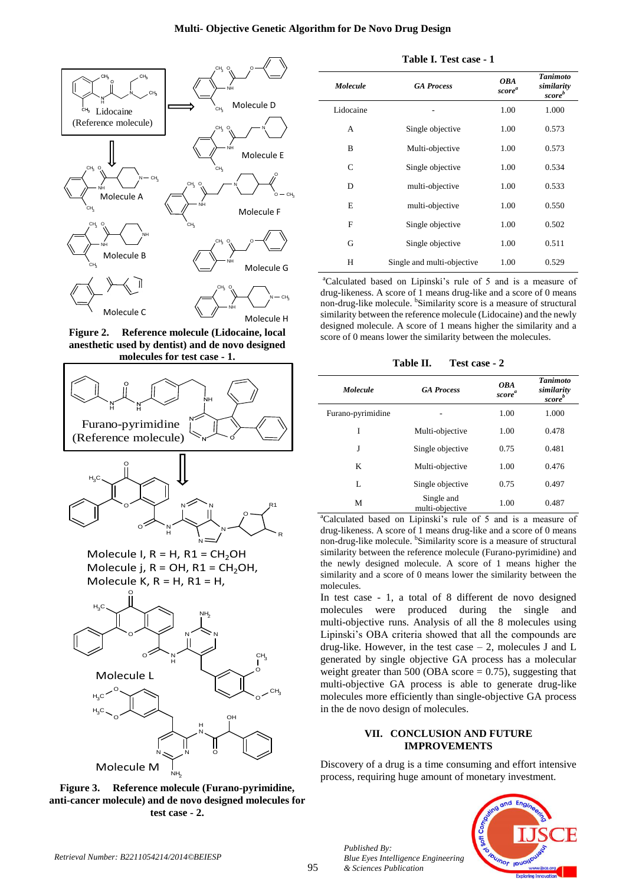## **Multi- Objective Genetic Algorithm for De Novo Drug Design**



**Figure 2. Reference molecule (Lidocaine, local anesthetic used by dentist) and de novo designed molecules for test case - 1.**





Molecule I,  $R = H$ ,  $R1 = CH<sub>2</sub>OH$ Molecule j,  $R = OH$ ,  $R1 = CH$ <sub>2</sub>OH, Molecule K,  $R = H$ ,  $R1 = H$ .



**Figure 3. Reference molecule (Furano-pyrimidine, anti-cancer molecule) and de novo designed molecules for test case - 2.**

| <b>Molecule</b> | <b>GA Process</b>          | <b>OBA</b><br>score <sup>a</sup> | <b>Tanimoto</b><br>similarity<br>score <sup>b</sup> |
|-----------------|----------------------------|----------------------------------|-----------------------------------------------------|
| Lidocaine       |                            | 1.00                             | 1.000                                               |
| A               | Single objective           | 1.00                             | 0.573                                               |
| B               | Multi-objective            | 1.00                             | 0.573                                               |
| C               | Single objective           | 1.00                             | 0.534                                               |
| D               | multi-objective            | 1.00                             | 0.533                                               |
| E               | multi-objective            | 1.00                             | 0.550                                               |
| F               | Single objective           | 1.00                             | 0.502                                               |
| G               | Single objective           | 1.00                             | 0.511                                               |
| H               | Single and multi-objective | 1.00                             | 0.529                                               |

**Table I. Test case - 1**

<sup>a</sup>Calculated based on Lipinski's rule of 5 and is a measure of drug-likeness. A score of 1 means drug-like and a score of 0 means non-drug-like molecule. <sup>b</sup>Similarity score is a measure of structural similarity between the reference molecule (Lidocaine) and the newly designed molecule. A score of 1 means higher the similarity and a score of 0 means lower the similarity between the molecules.

**Table II. Test case - 2**

| <b>Molecule</b>   | <b>GA Process</b>             | <b>OBA</b><br>score <sup>a</sup> | <b>Tanimoto</b><br>similarity<br>score <sup>b</sup> |
|-------------------|-------------------------------|----------------------------------|-----------------------------------------------------|
| Furano-pyrimidine |                               | 1.00                             | 1.000                                               |
| I                 | Multi-objective               | 1.00                             | 0.478                                               |
| J                 | Single objective              | 0.75                             | 0.481                                               |
| K                 | Multi-objective               | 1.00                             | 0.476                                               |
| L                 | Single objective              | 0.75                             | 0.497                                               |
| М                 | Single and<br>multi-objective | 1.00                             | 0.487                                               |

<sup>a</sup>Calculated based on Lipinski's rule of 5 and is a measure of drug-likeness. A score of 1 means drug-like and a score of 0 means non-drug-like molecule. <sup>b</sup>Similarity score is a measure of structural similarity between the reference molecule (Furano-pyrimidine) and the newly designed molecule. A score of 1 means higher the similarity and a score of 0 means lower the similarity between the molecules.

In test case - 1, a total of 8 different de novo designed molecules were produced during the single and multi-objective runs. Analysis of all the 8 molecules using Lipinski's OBA criteria showed that all the compounds are drug-like. However, in the test case – 2, molecules J and L generated by single objective GA process has a molecular weight greater than 500 (OBA score  $= 0.75$ ), suggesting that multi-objective GA process is able to generate drug-like molecules more efficiently than single-objective GA process in the de novo design of molecules.

# **VII. CONCLUSION AND FUTURE IMPROVEMENTS**

Discovery of a drug is a time consuming and effort intensive process, requiring huge amount of monetary investment.



*Published By:*

*& Sciences Publication* 

*Blue Eyes Intelligence Engineering*